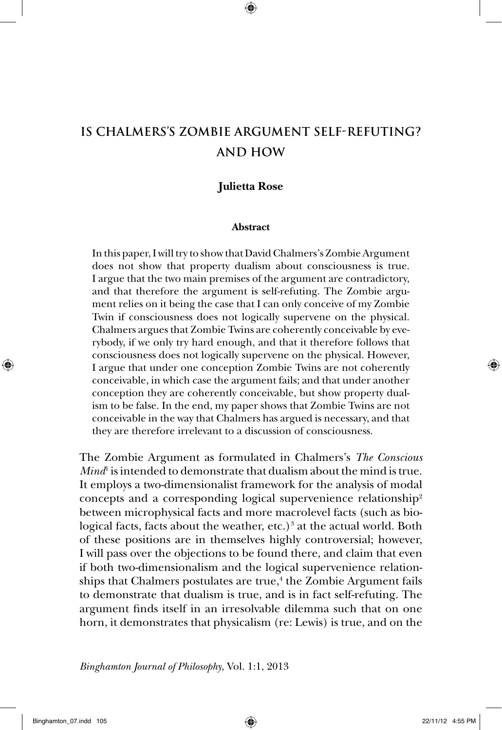# **IS CHALMERS'S ZOMBIE ARGUMENT SELF-REFUTING? AND HOW**

### **Julietta Rose**

#### **Abstract**

In this paper, I will try to show that David Chalmers's Zombie Argument does not show that property dualism about consciousness is true. I argue that the two main premises of the argument are contradictory, and that therefore the argument is self-refuting. The Zombie argument relies on it being the case that I can only conceive of my Zombie Twin if consciousness does not logically supervene on the physical. Chalmers argues that Zombie Twins are coherently conceivable by everybody, if we only try hard enough, and that it therefore follows that consciousness does not logically supervene on the physical. However, I argue that under one conception Zombie Twins are not coherently conceivable, in which case the argument fails; and that under another conception they are coherently conceivable, but show property dualism to be false. In the end, my paper shows that Zombie Twins are not conceivable in the way that Chalmers has argued is necessary, and that they are therefore irrelevant to a discussion of consciousness.

The Zombie Argument as formulated in Chalmers's *The Conscious Mind*<sup>1</sup> is intended to demonstrate that dualism about the mind is true. It employs a two-dimensionalist framework for the analysis of modal concepts and a corresponding logical supervenience relationship2 between microphysical facts and more macrolevel facts (such as biological facts, facts about the weather, etc.)<sup>3</sup> at the actual world. Both of these positions are in themselves highly controversial; however, I will pass over the objections to be found there, and claim that even if both two-dimensionalism and the logical supervenience relationships that Chalmers postulates are true,<sup>4</sup> the Zombie Argument fails to demonstrate that dualism is true, and is in fact self-refuting. The argument finds itself in an irresolvable dilemma such that on one horn, it demonstrates that physicalism (re: Lewis) is true, and on the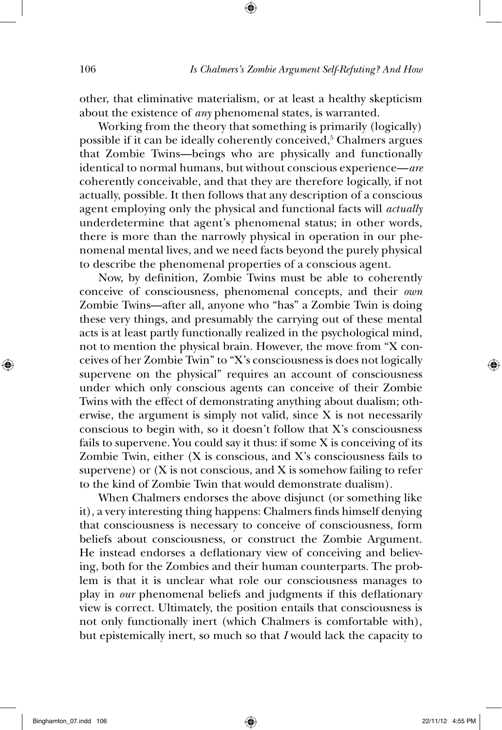other, that eliminative materialism, or at least a healthy skepticism about the existence of *any* phenomenal states, is warranted.

Working from the theory that something is primarily (logically) possible if it can be ideally coherently conceived,<sup>5</sup> Chalmers argues that Zombie Twins—beings who are physically and functionally identical to normal humans, but without conscious experience—*are* coherently conceivable, and that they are therefore logically, if not actually, possible. It then follows that any description of a conscious agent employing only the physical and functional facts will *actually* underdetermine that agent's phenomenal status; in other words, there is more than the narrowly physical in operation in our phenomenal mental lives, and we need facts beyond the purely physical to describe the phenomenal properties of a conscious agent.

Now, by definition, Zombie Twins must be able to coherently conceive of consciousness, phenomenal concepts, and their *own* Zombie Twins—after all, anyone who "has" a Zombie Twin is doing these very things, and presumably the carrying out of these mental acts is at least partly functionally realized in the psychological mind, not to mention the physical brain. However, the move from "X conceives of her Zombie Twin" to "X's consciousness is does not logically supervene on the physical" requires an account of consciousness under which only conscious agents can conceive of their Zombie Twins with the effect of demonstrating anything about dualism; otherwise, the argument is simply not valid, since X is not necessarily conscious to begin with, so it doesn't follow that X's consciousness fails to supervene. You could say it thus: if some X is conceiving of its Zombie Twin, either (X is conscious, and X's consciousness fails to supervene) or (X is not conscious, and X is somehow failing to refer to the kind of Zombie Twin that would demonstrate dualism).

When Chalmers endorses the above disjunct (or something like it), a very interesting thing happens: Chalmers finds himself denying that consciousness is necessary to conceive of consciousness, form beliefs about consciousness, or construct the Zombie Argument. He instead endorses a deflationary view of conceiving and believing, both for the Zombies and their human counterparts. The problem is that it is unclear what role our consciousness manages to play in *our* phenomenal beliefs and judgments if this deflationary view is correct. Ultimately, the position entails that consciousness is not only functionally inert (which Chalmers is comfortable with), but epistemically inert, so much so that *I* would lack the capacity to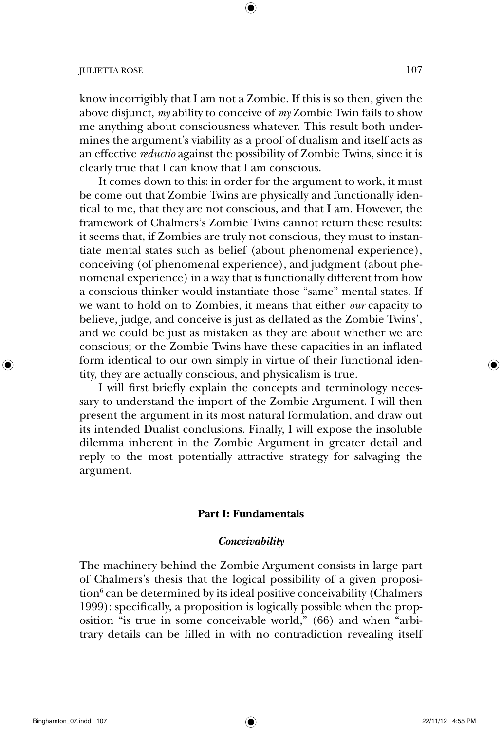know incorrigibly that I am not a Zombie. If this is so then, given the above disjunct, *my* ability to conceive of *my* Zombie Twin fails to show me anything about consciousness whatever. This result both undermines the argument's viability as a proof of dualism and itself acts as an effective *reductio* against the possibility of Zombie Twins, since it is clearly true that I can know that I am conscious.

It comes down to this: in order for the argument to work, it must be come out that Zombie Twins are physically and functionally identical to me, that they are not conscious, and that I am. However, the framework of Chalmers's Zombie Twins cannot return these results: it seems that, if Zombies are truly not conscious, they must to instantiate mental states such as belief (about phenomenal experience), conceiving (of phenomenal experience), and judgment (about phenomenal experience) in a way that is functionally different from how a conscious thinker would instantiate those "same" mental states. If we want to hold on to Zombies, it means that either *our* capacity to believe, judge, and conceive is just as deflated as the Zombie Twins', and we could be just as mistaken as they are about whether we are conscious; or the Zombie Twins have these capacities in an inflated form identical to our own simply in virtue of their functional identity, they are actually conscious, and physicalism is true.

I will first briefly explain the concepts and terminology necessary to understand the import of the Zombie Argument. I will then present the argument in its most natural formulation, and draw out its intended Dualist conclusions. Finally, I will expose the insoluble dilemma inherent in the Zombie Argument in greater detail and reply to the most potentially attractive strategy for salvaging the argument.

### **Part I: Fundamentals**

#### *Conceivability*

The machinery behind the Zombie Argument consists in large part of Chalmers's thesis that the logical possibility of a given proposition<sup>6</sup> can be determined by its ideal positive conceivability (Chalmers 1999): specifically, a proposition is logically possible when the proposition "is true in some conceivable world," (66) and when "arbitrary details can be filled in with no contradiction revealing itself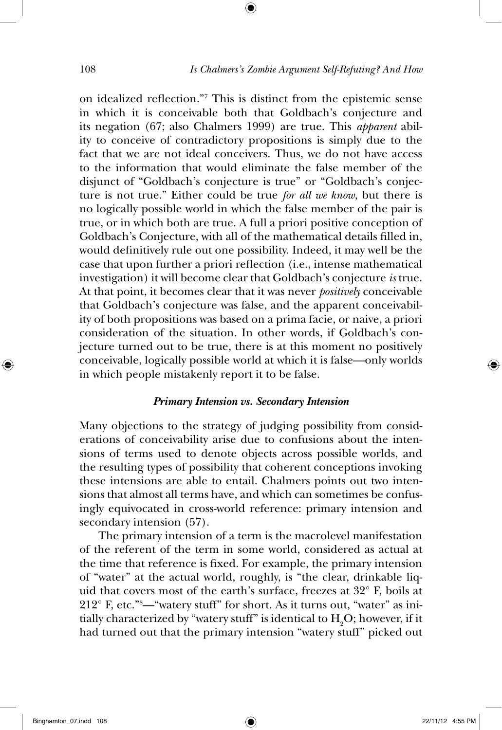on idealized reflection."7 This is distinct from the epistemic sense in which it is conceivable both that Goldbach's conjecture and its negation (67; also Chalmers 1999) are true. This *apparent* ability to conceive of contradictory propositions is simply due to the fact that we are not ideal conceivers. Thus, we do not have access to the information that would eliminate the false member of the disjunct of "Goldbach's conjecture is true" or "Goldbach's conjecture is not true." Either could be true *for all we know*, but there is no logically possible world in which the false member of the pair is true, or in which both are true. A full a priori positive conception of Goldbach's Conjecture, with all of the mathematical details filled in, would definitively rule out one possibility. Indeed, it may well be the case that upon further a priori reflection (i.e., intense mathematical investigation) it will become clear that Goldbach's conjecture *is* true. At that point, it becomes clear that it was never *positively* conceivable that Goldbach's conjecture was false, and the apparent conceivability of both propositions was based on a prima facie, or naive, a priori consideration of the situation. In other words, if Goldbach's conjecture turned out to be true, there is at this moment no positively conceivable, logically possible world at which it is false—only worlds in which people mistakenly report it to be false.

#### *Primary Intension vs. Secondary Intension*

Many objections to the strategy of judging possibility from considerations of conceivability arise due to confusions about the intensions of terms used to denote objects across possible worlds, and the resulting types of possibility that coherent conceptions invoking these intensions are able to entail. Chalmers points out two intensions that almost all terms have, and which can sometimes be confusingly equivocated in cross-world reference: primary intension and secondary intension (57).

The primary intension of a term is the macrolevel manifestation of the referent of the term in some world, considered as actual at the time that reference is fixed. For example, the primary intension of "water" at the actual world, roughly, is "the clear, drinkable liquid that covers most of the earth's surface, freezes at 32° F, boils at 212° F, etc."8 —"watery stuff" for short. As it turns out, "water" as initially characterized by "watery stuff" is identical to  $\rm H_{2}O;$  however, if it had turned out that the primary intension "watery stuff" picked out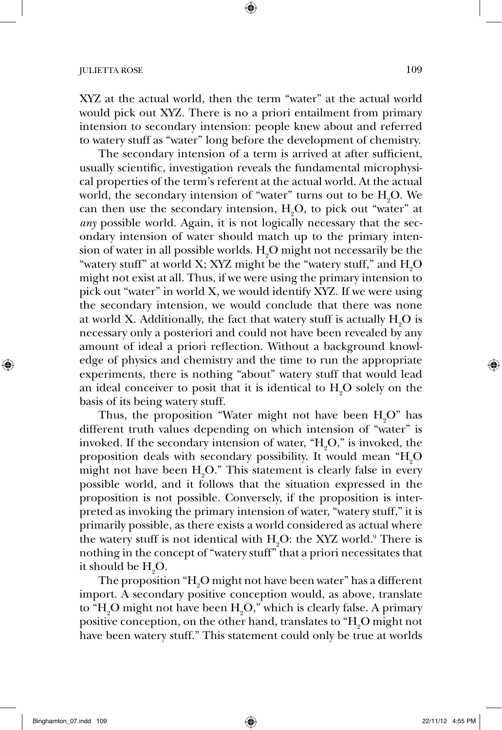XYZ at the actual world, then the term "water" at the actual world would pick out XYZ. There is no a priori entailment from primary intension to secondary intension: people knew about and referred to watery stuff as "water" long before the development of chemistry.

The secondary intension of a term is arrived at after sufficient, usually scientific, investigation reveals the fundamental microphysical properties of the term's referent at the actual world. At the actual world, the secondary intension of "water" turns out to be  $\mathrm{H}_{2}\mathrm{O}.$  We can then use the secondary intension,  $H_2O$ , to pick out "water" at *any* possible world. Again, it is not logically necessary that the secondary intension of water should match up to the primary intension of water in all possible worlds.  $\rm H_{2}O$  might not necessarily be the "watery stuff" at world X; XYZ might be the "watery stuff," and  $\rm H_{2}O$ might not exist at all. Thus, if we were using the primary intension to pick out "water" in world X, we would identify XYZ. If we were using the secondary intension, we would conclude that there was none at world X. Additionally, the fact that watery stuff is actually  $\rm H_{2}O$  is necessary only a posteriori and could not have been revealed by any amount of ideal a priori reflection. Without a background knowledge of physics and chemistry and the time to run the appropriate experiments, there is nothing "about" watery stuff that would lead an ideal conceiver to posit that it is identical to  $\mathrm{H}_{2}\mathrm{O}$  solely on the basis of its being watery stuff.

Thus, the proposition "Water might not have been  $H_2O$ " has different truth values depending on which intension of "water" is invoked. If the secondary intension of water, " $\rm H_2O,$ " is invoked, the proposition deals with secondary possibility. It would mean  $\mathrm{``H}_{2} \mathrm{O}$ might not have been  $H_2O$ ." This statement is clearly false in every possible world, and it follows that the situation expressed in the proposition is not possible. Conversely, if the proposition is interpreted as invoking the primary intension of water, "watery stuff," it is primarily possible, as there exists a world considered as actual where the watery stuff is not identical with  $H_2O$ : the XYZ world.<sup>9</sup> There is nothing in the concept of "watery stuff" that a priori necessitates that it should be  $\rm H_2O$ .

The proposition " $\rm H_2O$  might not have been water" has a different import. A secondary positive conception would, as above, translate to "H<sub>2</sub>O might not have been H<sub>2</sub>O," which is clearly false. A primary positive conception, on the other hand, translates to "H<sub>2</sub>O might not have been watery stuff." This statement could only be true at worlds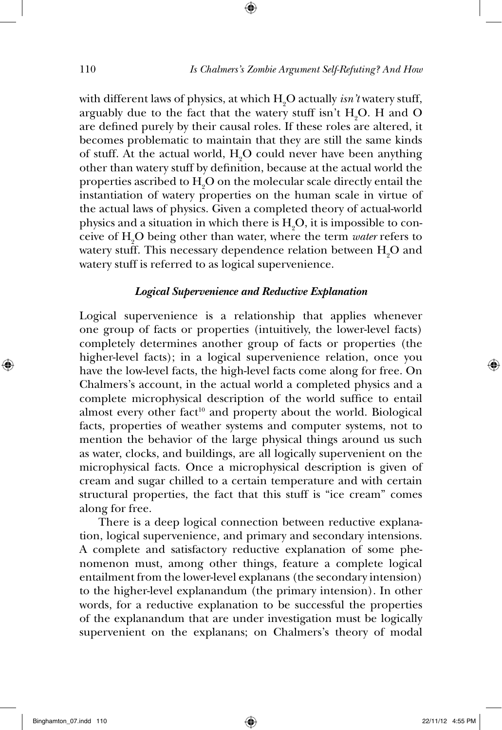with different laws of physics, at which  $\rm H_{2}O$  actually *isn't* watery stuff, arguably due to the fact that the watery stuff isn't  $\rm H_{2}O.$  H and O are defined purely by their causal roles. If these roles are altered, it becomes problematic to maintain that they are still the same kinds of stuff. At the actual world,  $H_2O$  could never have been anything other than watery stuff by definition, because at the actual world the properties ascribed to  $\rm H_{2}O$  on the molecular scale directly entail the instantiation of watery properties on the human scale in virtue of the actual laws of physics. Given a completed theory of actual-world physics and a situation in which there is  $\rm H_2O$ , it is impossible to conceive of H2 O being other than water, where the term *water* refers to watery stuff. This necessary dependence relation between  $\rm H_{2}O$  and watery stuff is referred to as logical supervenience.

### *Logical Supervenience and Reductive Explanation*

Logical supervenience is a relationship that applies whenever one group of facts or properties (intuitively, the lower-level facts) completely determines another group of facts or properties (the higher-level facts); in a logical supervenience relation, once you have the low-level facts, the high-level facts come along for free. On Chalmers's account, in the actual world a completed physics and a complete microphysical description of the world suffice to entail almost every other fact<sup>10</sup> and property about the world. Biological facts, properties of weather systems and computer systems, not to mention the behavior of the large physical things around us such as water, clocks, and buildings, are all logically supervenient on the microphysical facts. Once a microphysical description is given of cream and sugar chilled to a certain temperature and with certain structural properties, the fact that this stuff is "ice cream" comes along for free.

There is a deep logical connection between reductive explanation, logical supervenience, and primary and secondary intensions. A complete and satisfactory reductive explanation of some phenomenon must, among other things, feature a complete logical entailment from the lower-level explanans (the secondary intension) to the higher-level explanandum (the primary intension). In other words, for a reductive explanation to be successful the properties of the explanandum that are under investigation must be logically supervenient on the explanans; on Chalmers's theory of modal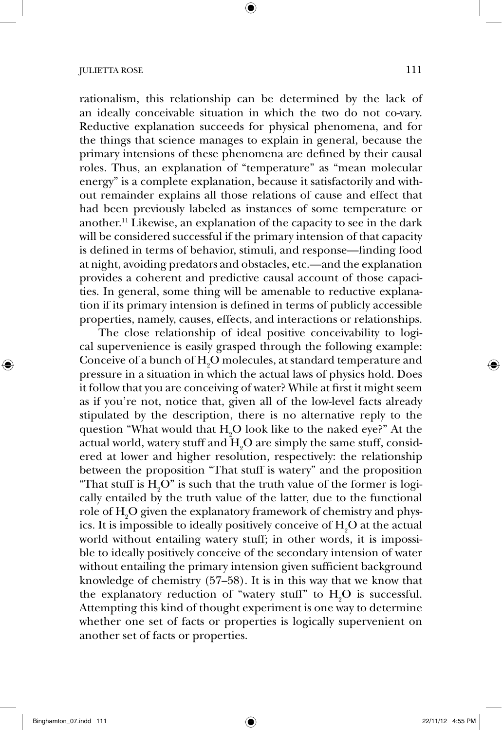rationalism, this relationship can be determined by the lack of an ideally conceivable situation in which the two do not co-vary. Reductive explanation succeeds for physical phenomena, and for the things that science manages to explain in general, because the primary intensions of these phenomena are defined by their causal roles. Thus, an explanation of "temperature" as "mean molecular energy" is a complete explanation, because it satisfactorily and without remainder explains all those relations of cause and effect that had been previously labeled as instances of some temperature or another.11 Likewise, an explanation of the capacity to see in the dark will be considered successful if the primary intension of that capacity is defined in terms of behavior, stimuli, and response—finding food at night, avoiding predators and obstacles, etc.—and the explanation provides a coherent and predictive causal account of those capacities. In general, some thing will be amenable to reductive explanation if its primary intension is defined in terms of publicly accessible properties, namely, causes, effects, and interactions or relationships.

The close relationship of ideal positive conceivability to logical supervenience is easily grasped through the following example: Conceive of a bunch of  $\rm H_{2}O$  molecules, at standard temperature and pressure in a situation in which the actual laws of physics hold. Does it follow that you are conceiving of water? While at first it might seem as if you're not, notice that, given all of the low-level facts already stipulated by the description, there is no alternative reply to the question "What would that  $\rm H_2O$  look like to the naked eye?" At the actual world, watery stuff and  $\rm H_{2}O$  are simply the same stuff, considered at lower and higher resolution, respectively: the relationship between the proposition "That stuff is watery" and the proposition "That stuff is  $\mathrm{H}_2\mathrm{O}$ " is such that the truth value of the former is logically entailed by the truth value of the latter, due to the functional role of  $\rm H_{2}O$  given the explanatory framework of chemistry and physics. It is impossible to ideally positively conceive of  $\rm H_{2}O$  at the actual world without entailing watery stuff; in other words, it is impossible to ideally positively conceive of the secondary intension of water without entailing the primary intension given sufficient background knowledge of chemistry (57–58). It is in this way that we know that the explanatory reduction of "watery stuff" to  $H_2O$  is successful. Attempting this kind of thought experiment is one way to determine whether one set of facts or properties is logically supervenient on another set of facts or properties.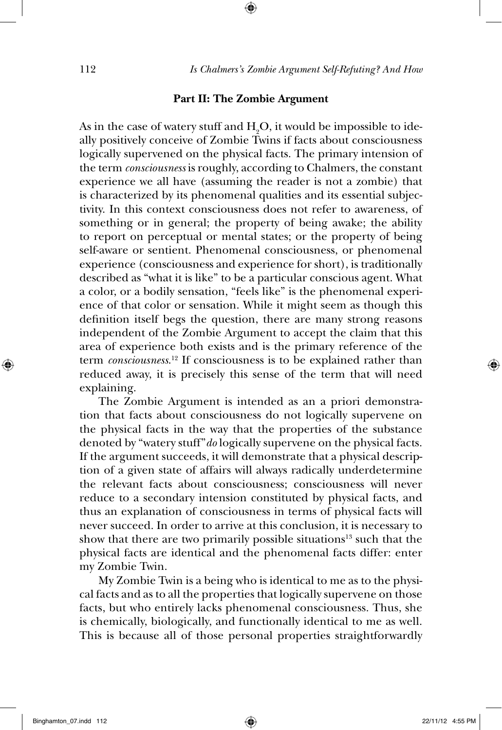#### **Part II: The Zombie Argument**

As in the case of watery stuff and  $\rm H_2O$ , it would be impossible to ideally positively conceive of Zombie Twins if facts about consciousness logically supervened on the physical facts. The primary intension of the term *consciousness* is roughly, according to Chalmers, the constant experience we all have (assuming the reader is not a zombie) that is characterized by its phenomenal qualities and its essential subjectivity. In this context consciousness does not refer to awareness, of something or in general; the property of being awake; the ability to report on perceptual or mental states; or the property of being self-aware or sentient. Phenomenal consciousness, or phenomenal experience (consciousness and experience for short), is traditionally described as "what it is like" to be a particular conscious agent. What a color, or a bodily sensation, "feels like" is the phenomenal experience of that color or sensation. While it might seem as though this definition itself begs the question, there are many strong reasons independent of the Zombie Argument to accept the claim that this area of experience both exists and is the primary reference of the term *consciousness*. 12 If consciousness is to be explained rather than reduced away, it is precisely this sense of the term that will need explaining.

The Zombie Argument is intended as an a priori demonstration that facts about consciousness do not logically supervene on the physical facts in the way that the properties of the substance denoted by "watery stuff"*do* logically supervene on the physical facts. If the argument succeeds, it will demonstrate that a physical description of a given state of affairs will always radically underdetermine the relevant facts about consciousness; consciousness will never reduce to a secondary intension constituted by physical facts, and thus an explanation of consciousness in terms of physical facts will never succeed. In order to arrive at this conclusion, it is necessary to show that there are two primarily possible situations<sup>13</sup> such that the physical facts are identical and the phenomenal facts differ: enter my Zombie Twin.

My Zombie Twin is a being who is identical to me as to the physical facts and as to all the properties that logically supervene on those facts, but who entirely lacks phenomenal consciousness. Thus, she is chemically, biologically, and functionally identical to me as well. This is because all of those personal properties straightforwardly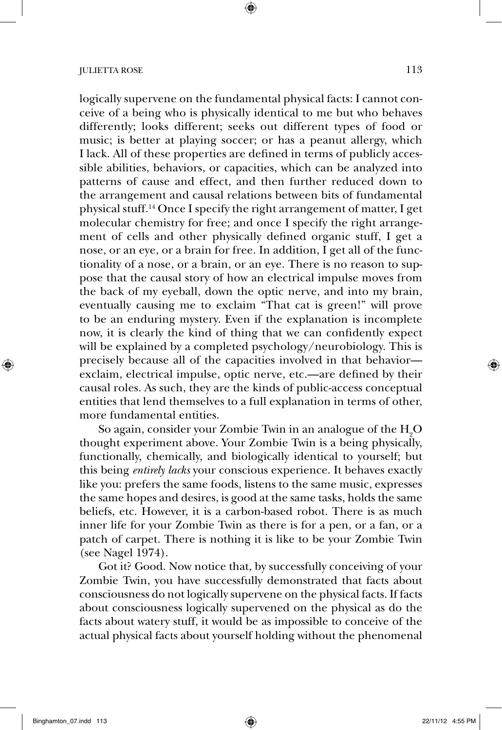logically supervene on the fundamental physical facts: I cannot conceive of a being who is physically identical to me but who behaves differently; looks different; seeks out different types of food or music; is better at playing soccer; or has a peanut allergy, which I lack. All of these properties are defined in terms of publicly accessible abilities, behaviors, or capacities, which can be analyzed into patterns of cause and effect, and then further reduced down to the arrangement and causal relations between bits of fundamental physical stuff.14 Once I specify the right arrangement of matter, I get molecular chemistry for free; and once I specify the right arrangement of cells and other physically defined organic stuff, I get a nose, or an eye, or a brain for free. In addition, I get all of the functionality of a nose, or a brain, or an eye. There is no reason to suppose that the causal story of how an electrical impulse moves from the back of my eyeball, down the optic nerve, and into my brain, eventually causing me to exclaim "That cat is green!" will prove to be an enduring mystery. Even if the explanation is incomplete now, it is clearly the kind of thing that we can confidently expect will be explained by a completed psychology/neurobiology. This is precisely because all of the capacities involved in that behavior exclaim, electrical impulse, optic nerve, etc.—are defined by their causal roles. As such, they are the kinds of public-access conceptual entities that lend themselves to a full explanation in terms of other, more fundamental entities.

So again, consider your Zombie Twin in an analogue of the  $\rm H_{2}O$ thought experiment above. Your Zombie Twin is a being physically, functionally, chemically, and biologically identical to yourself; but this being *entirely lacks* your conscious experience. It behaves exactly like you: prefers the same foods, listens to the same music, expresses the same hopes and desires, is good at the same tasks, holds the same beliefs, etc. However, it is a carbon-based robot. There is as much inner life for your Zombie Twin as there is for a pen, or a fan, or a patch of carpet. There is nothing it is like to be your Zombie Twin (see Nagel 1974).

Got it? Good. Now notice that, by successfully conceiving of your Zombie Twin, you have successfully demonstrated that facts about consciousness do not logically supervene on the physical facts. If facts about consciousness logically supervened on the physical as do the facts about watery stuff, it would be as impossible to conceive of the actual physical facts about yourself holding without the phenomenal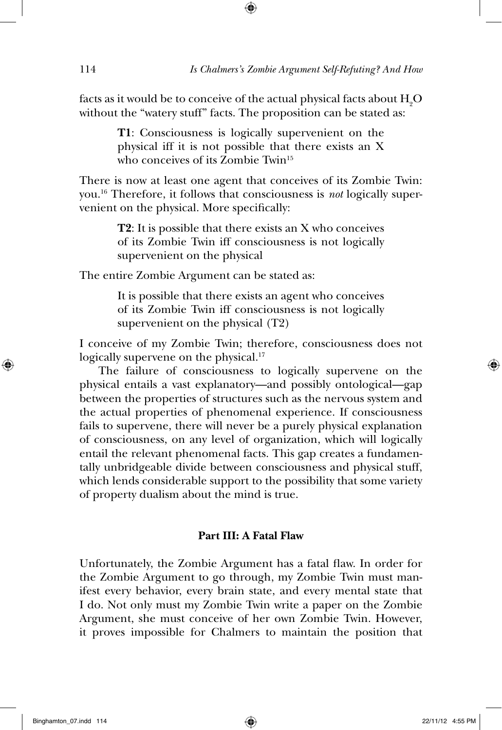facts as it would be to conceive of the actual physical facts about  $\rm H_{2}O$ without the "watery stuff" facts. The proposition can be stated as:

> **T1**: Consciousness is logically supervenient on the physical iff it is not possible that there exists an X who conceives of its Zombie Twin<sup>15</sup>

There is now at least one agent that conceives of its Zombie Twin: you.16 Therefore, it follows that consciousness is *not* logically supervenient on the physical. More specifically:

> **T2**: It is possible that there exists an X who conceives of its Zombie Twin iff consciousness is not logically supervenient on the physical

The entire Zombie Argument can be stated as:

It is possible that there exists an agent who conceives of its Zombie Twin iff consciousness is not logically supervenient on the physical (T2)

I conceive of my Zombie Twin; therefore, consciousness does not logically supervene on the physical.<sup>17</sup>

The failure of consciousness to logically supervene on the physical entails a vast explanatory—and possibly ontological—gap between the properties of structures such as the nervous system and the actual properties of phenomenal experience. If consciousness fails to supervene, there will never be a purely physical explanation of consciousness, on any level of organization, which will logically entail the relevant phenomenal facts. This gap creates a fundamentally unbridgeable divide between consciousness and physical stuff, which lends considerable support to the possibility that some variety of property dualism about the mind is true.

# **Part III: A Fatal Flaw**

Unfortunately, the Zombie Argument has a fatal flaw. In order for the Zombie Argument to go through, my Zombie Twin must manifest every behavior, every brain state, and every mental state that I do. Not only must my Zombie Twin write a paper on the Zombie Argument, she must conceive of her own Zombie Twin. However, it proves impossible for Chalmers to maintain the position that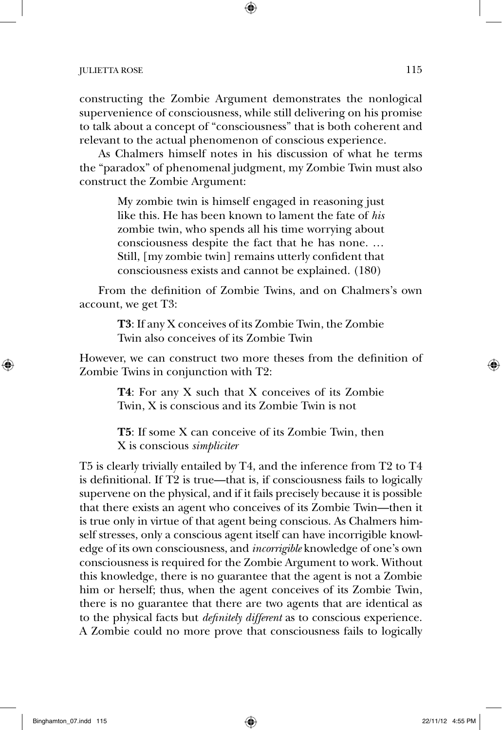constructing the Zombie Argument demonstrates the nonlogical supervenience of consciousness, while still delivering on his promise to talk about a concept of "consciousness" that is both coherent and relevant to the actual phenomenon of conscious experience.

As Chalmers himself notes in his discussion of what he terms the "paradox" of phenomenal judgment, my Zombie Twin must also construct the Zombie Argument:

> My zombie twin is himself engaged in reasoning just like this. He has been known to lament the fate of *his* zombie twin, who spends all his time worrying about consciousness despite the fact that he has none. … Still, [my zombie twin] remains utterly confident that consciousness exists and cannot be explained. (180)

From the definition of Zombie Twins, and on Chalmers's own account, we get T3:

> **T3**: If any X conceives of its Zombie Twin, the Zombie Twin also conceives of its Zombie Twin

However, we can construct two more theses from the definition of Zombie Twins in conjunction with T2:

> **T4**: For any X such that X conceives of its Zombie Twin, X is conscious and its Zombie Twin is not

> **T5**: If some X can conceive of its Zombie Twin, then X is conscious *simpliciter*

T5 is clearly trivially entailed by T4, and the inference from T2 to T4 is definitional. If T2 is true—that is, if consciousness fails to logically supervene on the physical, and if it fails precisely because it is possible that there exists an agent who conceives of its Zombie Twin—then it is true only in virtue of that agent being conscious. As Chalmers himself stresses, only a conscious agent itself can have incorrigible knowledge of its own consciousness, and *incorrigible* knowledge of one's own consciousness is required for the Zombie Argument to work. Without this knowledge, there is no guarantee that the agent is not a Zombie him or herself; thus, when the agent conceives of its Zombie Twin, there is no guarantee that there are two agents that are identical as to the physical facts but *definitely different* as to conscious experience. A Zombie could no more prove that consciousness fails to logically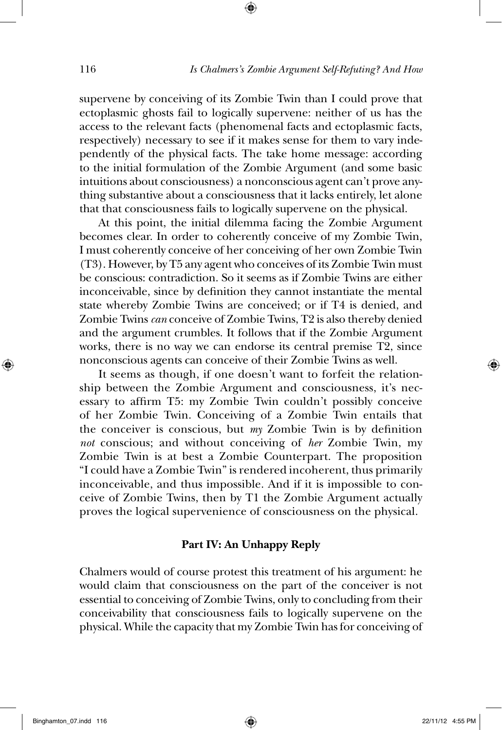supervene by conceiving of its Zombie Twin than I could prove that ectoplasmic ghosts fail to logically supervene: neither of us has the access to the relevant facts (phenomenal facts and ectoplasmic facts, respectively) necessary to see if it makes sense for them to vary independently of the physical facts. The take home message: according to the initial formulation of the Zombie Argument (and some basic intuitions about consciousness) a nonconscious agent can't prove anything substantive about a consciousness that it lacks entirely, let alone that that consciousness fails to logically supervene on the physical.

At this point, the initial dilemma facing the Zombie Argument becomes clear. In order to coherently conceive of my Zombie Twin, I must coherently conceive of her conceiving of her own Zombie Twin (T3). However, by T5 any agent who conceives of its Zombie Twin must be conscious: contradiction. So it seems as if Zombie Twins are either inconceivable, since by definition they cannot instantiate the mental state whereby Zombie Twins are conceived; or if T4 is denied, and Zombie Twins *can* conceive of Zombie Twins, T2 is also thereby denied and the argument crumbles. It follows that if the Zombie Argument works, there is no way we can endorse its central premise T2, since nonconscious agents can conceive of their Zombie Twins as well.

It seems as though, if one doesn't want to forfeit the relationship between the Zombie Argument and consciousness, it's necessary to affirm T5: my Zombie Twin couldn't possibly conceive of her Zombie Twin. Conceiving of a Zombie Twin entails that the conceiver is conscious, but *my* Zombie Twin is by definition *not* conscious; and without conceiving of *her* Zombie Twin, my Zombie Twin is at best a Zombie Counterpart. The proposition "I could have a Zombie Twin" is rendered incoherent, thus primarily inconceivable, and thus impossible. And if it is impossible to conceive of Zombie Twins, then by T1 the Zombie Argument actually proves the logical supervenience of consciousness on the physical.

# **Part IV: An Unhappy Reply**

Chalmers would of course protest this treatment of his argument: he would claim that consciousness on the part of the conceiver is not essential to conceiving of Zombie Twins, only to concluding from their conceivability that consciousness fails to logically supervene on the physical. While the capacity that my Zombie Twin has for conceiving of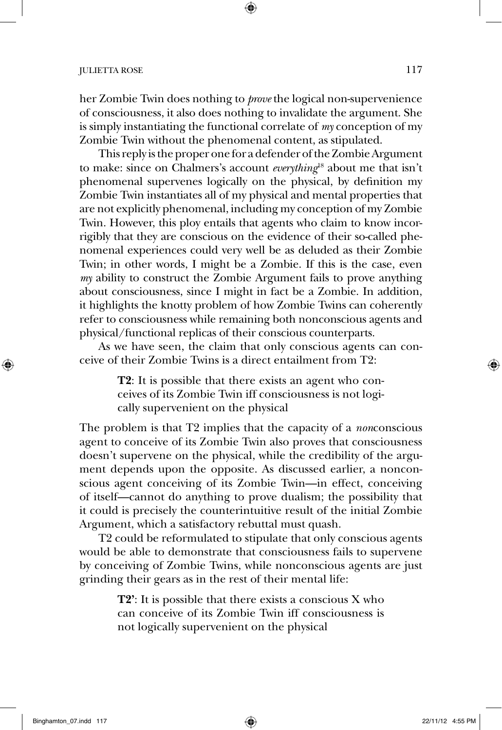her Zombie Twin does nothing to *prove* the logical non-supervenience of consciousness, it also does nothing to invalidate the argument. She is simply instantiating the functional correlate of *my* conception of my Zombie Twin without the phenomenal content, as stipulated.

This reply is the proper one for a defender of the Zombie Argument to make: since on Chalmers's account *everything*18 about me that isn't phenomenal supervenes logically on the physical, by definition my Zombie Twin instantiates all of my physical and mental properties that are not explicitly phenomenal, including my conception of my Zombie Twin. However, this ploy entails that agents who claim to know incorrigibly that they are conscious on the evidence of their so-called phenomenal experiences could very well be as deluded as their Zombie Twin; in other words, I might be a Zombie. If this is the case, even *my* ability to construct the Zombie Argument fails to prove anything about consciousness, since I might in fact be a Zombie. In addition, it highlights the knotty problem of how Zombie Twins can coherently refer to consciousness while remaining both nonconscious agents and physical/functional replicas of their conscious counterparts.

As we have seen, the claim that only conscious agents can conceive of their Zombie Twins is a direct entailment from T2:

> **T2**: It is possible that there exists an agent who conceives of its Zombie Twin iff consciousness is not logically supervenient on the physical

The problem is that T2 implies that the capacity of a *non*conscious agent to conceive of its Zombie Twin also proves that consciousness doesn't supervene on the physical, while the credibility of the argument depends upon the opposite. As discussed earlier, a nonconscious agent conceiving of its Zombie Twin—in effect, conceiving of itself—cannot do anything to prove dualism; the possibility that it could is precisely the counterintuitive result of the initial Zombie Argument, which a satisfactory rebuttal must quash.

T2 could be reformulated to stipulate that only conscious agents would be able to demonstrate that consciousness fails to supervene by conceiving of Zombie Twins, while nonconscious agents are just grinding their gears as in the rest of their mental life:

> **T2'**: It is possible that there exists a conscious X who can conceive of its Zombie Twin iff consciousness is not logically supervenient on the physical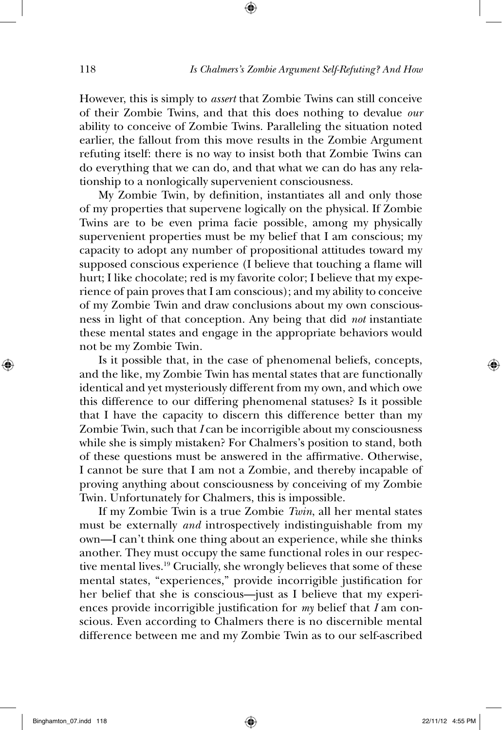However, this is simply to *assert* that Zombie Twins can still conceive of their Zombie Twins, and that this does nothing to devalue *our* ability to conceive of Zombie Twins. Paralleling the situation noted earlier, the fallout from this move results in the Zombie Argument refuting itself: there is no way to insist both that Zombie Twins can do everything that we can do, and that what we can do has any relationship to a nonlogically supervenient consciousness.

My Zombie Twin, by definition, instantiates all and only those of my properties that supervene logically on the physical. If Zombie Twins are to be even prima facie possible, among my physically supervenient properties must be my belief that I am conscious; my capacity to adopt any number of propositional attitudes toward my supposed conscious experience (I believe that touching a flame will hurt; I like chocolate; red is my favorite color; I believe that my experience of pain proves that I am conscious); and my ability to conceive of my Zombie Twin and draw conclusions about my own consciousness in light of that conception. Any being that did *not* instantiate these mental states and engage in the appropriate behaviors would not be my Zombie Twin.

Is it possible that, in the case of phenomenal beliefs, concepts, and the like, my Zombie Twin has mental states that are functionally identical and yet mysteriously different from my own, and which owe this difference to our differing phenomenal statuses? Is it possible that I have the capacity to discern this difference better than my Zombie Twin, such that *I* can be incorrigible about my consciousness while she is simply mistaken? For Chalmers's position to stand, both of these questions must be answered in the affirmative. Otherwise, I cannot be sure that I am not a Zombie, and thereby incapable of proving anything about consciousness by conceiving of my Zombie Twin. Unfortunately for Chalmers, this is impossible.

If my Zombie Twin is a true Zombie *Twin*, all her mental states must be externally *and* introspectively indistinguishable from my own—I can't think one thing about an experience, while she thinks another. They must occupy the same functional roles in our respective mental lives.19 Crucially, she wrongly believes that some of these mental states, "experiences," provide incorrigible justification for her belief that she is conscious—just as I believe that my experiences provide incorrigible justification for *my* belief that *I* am conscious. Even according to Chalmers there is no discernible mental difference between me and my Zombie Twin as to our self-ascribed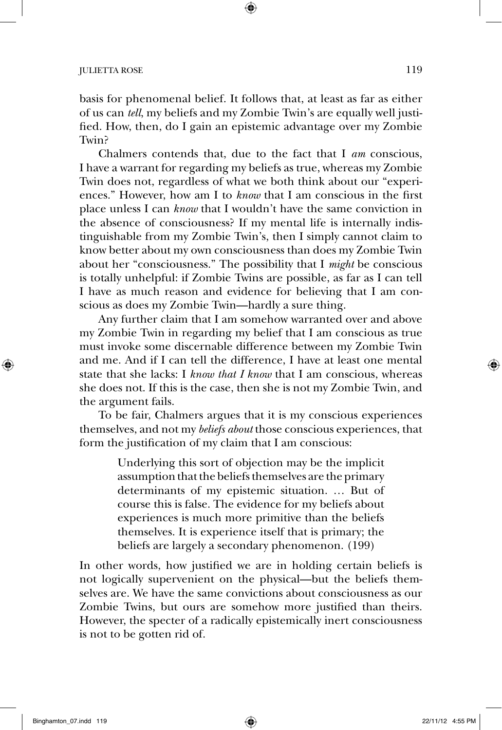basis for phenomenal belief. It follows that, at least as far as either of us can *tell*, my beliefs and my Zombie Twin's are equally well justified. How, then, do I gain an epistemic advantage over my Zombie Twin?

Chalmers contends that, due to the fact that I *am* conscious, I have a warrant for regarding my beliefs as true, whereas my Zombie Twin does not, regardless of what we both think about our "experiences." However, how am I to *know* that I am conscious in the first place unless I can *know* that I wouldn't have the same conviction in the absence of consciousness? If my mental life is internally indistinguishable from my Zombie Twin's, then I simply cannot claim to know better about my own consciousness than does my Zombie Twin about her "consciousness." The possibility that I *might* be conscious is totally unhelpful: if Zombie Twins are possible, as far as I can tell I have as much reason and evidence for believing that I am conscious as does my Zombie Twin—hardly a sure thing.

Any further claim that I am somehow warranted over and above my Zombie Twin in regarding my belief that I am conscious as true must invoke some discernable difference between my Zombie Twin and me. And if I can tell the difference, I have at least one mental state that she lacks: I *know that I know* that I am conscious, whereas she does not. If this is the case, then she is not my Zombie Twin, and the argument fails.

To be fair, Chalmers argues that it is my conscious experiences themselves, and not my *beliefs about* those conscious experiences, that form the justification of my claim that I am conscious:

> Underlying this sort of objection may be the implicit assumption that the beliefs themselves are the primary determinants of my epistemic situation. … But of course this is false. The evidence for my beliefs about experiences is much more primitive than the beliefs themselves. It is experience itself that is primary; the beliefs are largely a secondary phenomenon. (199)

In other words, how justified we are in holding certain beliefs is not logically supervenient on the physical—but the beliefs themselves are. We have the same convictions about consciousness as our Zombie Twins, but ours are somehow more justified than theirs. However, the specter of a radically epistemically inert consciousness is not to be gotten rid of.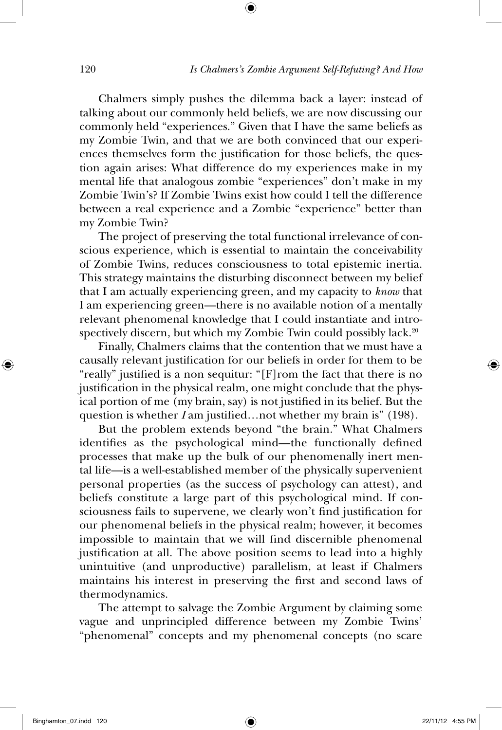Chalmers simply pushes the dilemma back a layer: instead of talking about our commonly held beliefs, we are now discussing our commonly held "experiences." Given that I have the same beliefs as my Zombie Twin, and that we are both convinced that our experiences themselves form the justification for those beliefs, the question again arises: What difference do my experiences make in my mental life that analogous zombie "experiences" don't make in my Zombie Twin's? If Zombie Twins exist how could I tell the difference between a real experience and a Zombie "experience" better than my Zombie Twin?

The project of preserving the total functional irrelevance of conscious experience, which is essential to maintain the conceivability of Zombie Twins, reduces consciousness to total epistemic inertia. This strategy maintains the disturbing disconnect between my belief that I am actually experiencing green, and my capacity to *know* that I am experiencing green—there is no available notion of a mentally relevant phenomenal knowledge that I could instantiate and introspectively discern, but which my Zombie Twin could possibly lack.<sup>20</sup>

Finally, Chalmers claims that the contention that we must have a causally relevant justification for our beliefs in order for them to be "really" justified is a non sequitur: "[F]rom the fact that there is no justification in the physical realm, one might conclude that the physical portion of me (my brain, say) is not justified in its belief. But the question is whether *I* am justified...not whether my brain is" (198).

But the problem extends beyond "the brain." What Chalmers identifies as the psychological mind—the functionally defined processes that make up the bulk of our phenomenally inert mental life—is a well-established member of the physically supervenient personal properties (as the success of psychology can attest), and beliefs constitute a large part of this psychological mind. If consciousness fails to supervene, we clearly won't find justification for our phenomenal beliefs in the physical realm; however, it becomes impossible to maintain that we will find discernible phenomenal justification at all. The above position seems to lead into a highly unintuitive (and unproductive) parallelism, at least if Chalmers maintains his interest in preserving the first and second laws of thermodynamics.

The attempt to salvage the Zombie Argument by claiming some vague and unprincipled difference between my Zombie Twins' "phenomenal" concepts and my phenomenal concepts (no scare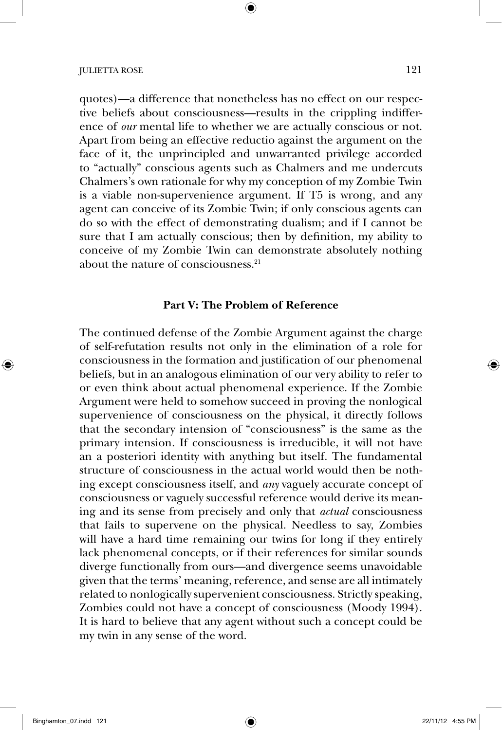quotes)—a difference that nonetheless has no effect on our respective beliefs about consciousness—results in the crippling indifference of *our* mental life to whether we are actually conscious or not. Apart from being an effective reductio against the argument on the face of it, the unprincipled and unwarranted privilege accorded to "actually" conscious agents such as Chalmers and me undercuts Chalmers's own rationale for why my conception of my Zombie Twin is a viable non-supervenience argument. If T5 is wrong, and any agent can conceive of its Zombie Twin; if only conscious agents can do so with the effect of demonstrating dualism; and if I cannot be sure that I am actually conscious; then by definition, my ability to conceive of my Zombie Twin can demonstrate absolutely nothing about the nature of consciousness.<sup>21</sup>

# **Part V: The Problem of Reference**

The continued defense of the Zombie Argument against the charge of self-refutation results not only in the elimination of a role for consciousness in the formation and justification of our phenomenal beliefs, but in an analogous elimination of our very ability to refer to or even think about actual phenomenal experience. If the Zombie Argument were held to somehow succeed in proving the nonlogical supervenience of consciousness on the physical, it directly follows that the secondary intension of "consciousness" is the same as the primary intension. If consciousness is irreducible, it will not have an a posteriori identity with anything but itself. The fundamental structure of consciousness in the actual world would then be nothing except consciousness itself, and *any* vaguely accurate concept of consciousness or vaguely successful reference would derive its meaning and its sense from precisely and only that *actual* consciousness that fails to supervene on the physical. Needless to say, Zombies will have a hard time remaining our twins for long if they entirely lack phenomenal concepts, or if their references for similar sounds diverge functionally from ours—and divergence seems unavoidable given that the terms' meaning, reference, and sense are all intimately related to nonlogically supervenient consciousness. Strictly speaking, Zombies could not have a concept of consciousness (Moody 1994). It is hard to believe that any agent without such a concept could be my twin in any sense of the word.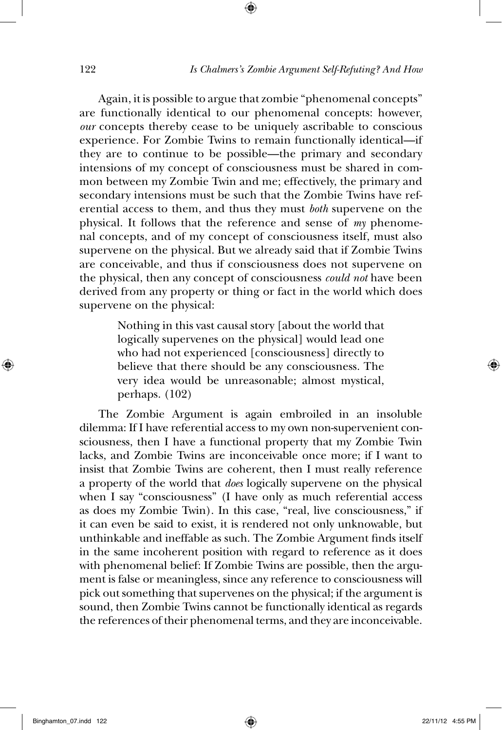Again, it is possible to argue that zombie "phenomenal concepts" are functionally identical to our phenomenal concepts: however, *our* concepts thereby cease to be uniquely ascribable to conscious experience. For Zombie Twins to remain functionally identical—if they are to continue to be possible—the primary and secondary intensions of my concept of consciousness must be shared in common between my Zombie Twin and me; effectively, the primary and secondary intensions must be such that the Zombie Twins have referential access to them, and thus they must *both* supervene on the physical. It follows that the reference and sense of *my* phenomenal concepts, and of my concept of consciousness itself, must also supervene on the physical. But we already said that if Zombie Twins are conceivable, and thus if consciousness does not supervene on the physical, then any concept of consciousness *could not* have been derived from any property or thing or fact in the world which does supervene on the physical:

> Nothing in this vast causal story [about the world that logically supervenes on the physical] would lead one who had not experienced [consciousness] directly to believe that there should be any consciousness. The very idea would be unreasonable; almost mystical, perhaps. (102)

The Zombie Argument is again embroiled in an insoluble dilemma: If I have referential access to my own non-supervenient consciousness, then I have a functional property that my Zombie Twin lacks, and Zombie Twins are inconceivable once more; if I want to insist that Zombie Twins are coherent, then I must really reference a property of the world that *does* logically supervene on the physical when I say "consciousness" (I have only as much referential access as does my Zombie Twin). In this case, "real, live consciousness," if it can even be said to exist, it is rendered not only unknowable, but unthinkable and ineffable as such. The Zombie Argument finds itself in the same incoherent position with regard to reference as it does with phenomenal belief: If Zombie Twins are possible, then the argument is false or meaningless, since any reference to consciousness will pick out something that supervenes on the physical; if the argument is sound, then Zombie Twins cannot be functionally identical as regards the references of their phenomenal terms, and they are inconceivable.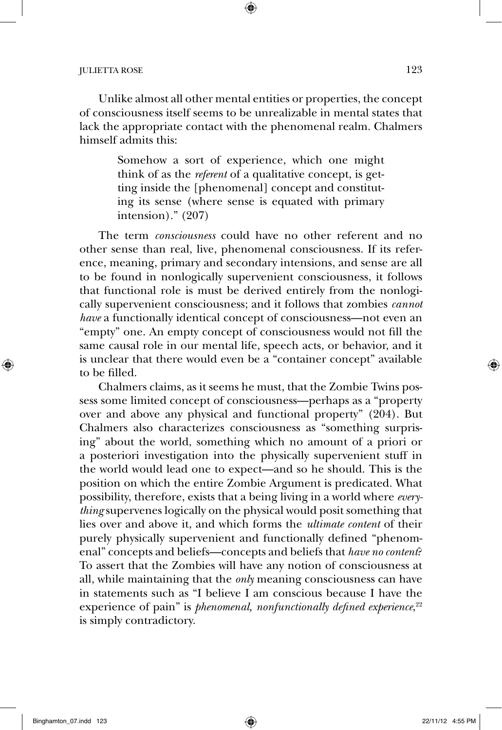Unlike almost all other mental entities or properties, the concept of consciousness itself seems to be unrealizable in mental states that lack the appropriate contact with the phenomenal realm. Chalmers himself admits this:

> Somehow a sort of experience, which one might think of as the *referent* of a qualitative concept, is getting inside the [phenomenal] concept and constituting its sense (where sense is equated with primary intension)." (207)

The term *consciousness* could have no other referent and no other sense than real, live, phenomenal consciousness. If its reference, meaning, primary and secondary intensions, and sense are all to be found in nonlogically supervenient consciousness, it follows that functional role is must be derived entirely from the nonlogically supervenient consciousness; and it follows that zombies *cannot have* a functionally identical concept of consciousness—not even an "empty" one. An empty concept of consciousness would not fill the same causal role in our mental life, speech acts, or behavior, and it is unclear that there would even be a "container concept" available to be filled.

Chalmers claims, as it seems he must, that the Zombie Twins possess some limited concept of consciousness—perhaps as a "property over and above any physical and functional property" (204). But Chalmers also characterizes consciousness as "something surprising" about the world, something which no amount of a priori or a posteriori investigation into the physically supervenient stuff in the world would lead one to expect—and so he should. This is the position on which the entire Zombie Argument is predicated. What possibility, therefore, exists that a being living in a world where *everything* supervenes logically on the physical would posit something that lies over and above it, and which forms the *ultimate content* of their purely physically supervenient and functionally defined "phenomenal" concepts and beliefs—concepts and beliefs that *have no content*? To assert that the Zombies will have any notion of consciousness at all, while maintaining that the *only* meaning consciousness can have in statements such as "I believe I am conscious because I have the experience of pain" is *phenomenal, nonfunctionally defined experience*,<sup>22</sup> is simply contradictory.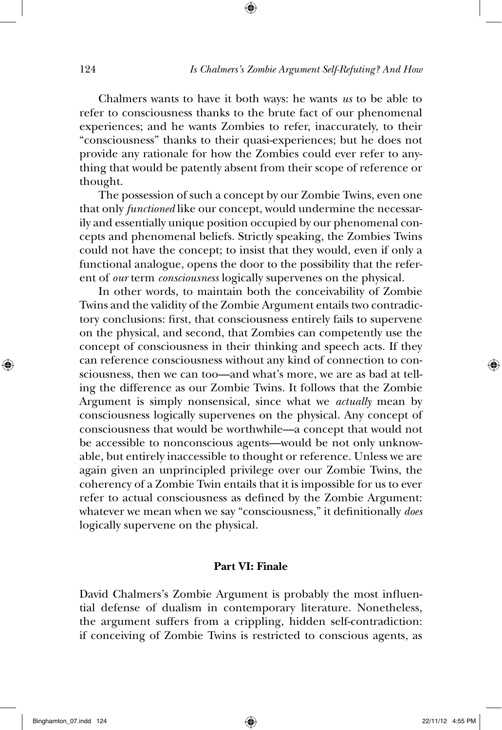Chalmers wants to have it both ways: he wants *us* to be able to refer to consciousness thanks to the brute fact of our phenomenal experiences; and he wants Zombies to refer, inaccurately, to their "consciousness" thanks to their quasi-experiences; but he does not provide any rationale for how the Zombies could ever refer to anything that would be patently absent from their scope of reference or thought.

The possession of such a concept by our Zombie Twins, even one that only *functioned* like our concept, would undermine the necessarily and essentially unique position occupied by our phenomenal concepts and phenomenal beliefs. Strictly speaking, the Zombies Twins could not have the concept; to insist that they would, even if only a functional analogue, opens the door to the possibility that the referent of *our* term *consciousness* logically supervenes on the physical.

In other words, to maintain both the conceivability of Zombie Twins and the validity of the Zombie Argument entails two contradictory conclusions: first, that consciousness entirely fails to supervene on the physical, and second, that Zombies can competently use the concept of consciousness in their thinking and speech acts. If they can reference consciousness without any kind of connection to consciousness, then we can too—and what's more, we are as bad at telling the difference as our Zombie Twins. It follows that the Zombie Argument is simply nonsensical, since what we *actually* mean by consciousness logically supervenes on the physical. Any concept of consciousness that would be worthwhile—a concept that would not be accessible to nonconscious agents—would be not only unknowable, but entirely inaccessible to thought or reference. Unless we are again given an unprincipled privilege over our Zombie Twins, the coherency of a Zombie Twin entails that it is impossible for us to ever refer to actual consciousness as defined by the Zombie Argument: whatever we mean when we say "consciousness," it definitionally *does* logically supervene on the physical.

### **Part VI: Finale**

David Chalmers's Zombie Argument is probably the most influential defense of dualism in contemporary literature. Nonetheless, the argument suffers from a crippling, hidden self-contradiction: if conceiving of Zombie Twins is restricted to conscious agents, as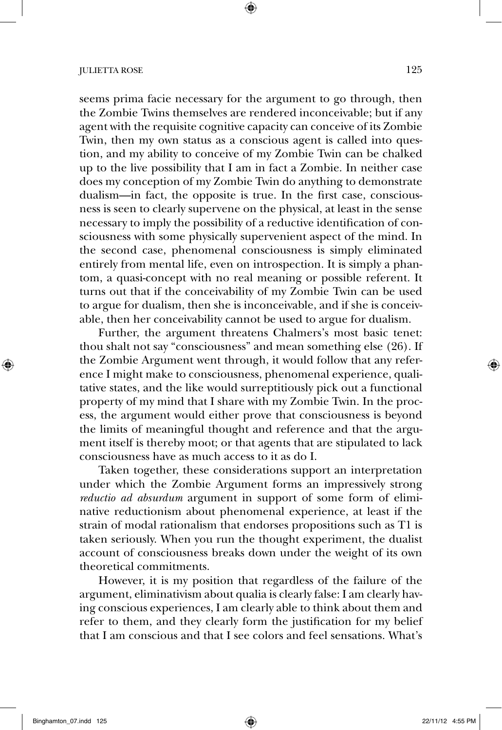seems prima facie necessary for the argument to go through, then the Zombie Twins themselves are rendered inconceivable; but if any agent with the requisite cognitive capacity can conceive of its Zombie Twin, then my own status as a conscious agent is called into question, and my ability to conceive of my Zombie Twin can be chalked up to the live possibility that I am in fact a Zombie. In neither case does my conception of my Zombie Twin do anything to demonstrate dualism—in fact, the opposite is true. In the first case, consciousness is seen to clearly supervene on the physical, at least in the sense necessary to imply the possibility of a reductive identification of consciousness with some physically supervenient aspect of the mind. In the second case, phenomenal consciousness is simply eliminated entirely from mental life, even on introspection. It is simply a phantom, a quasi-concept with no real meaning or possible referent. It turns out that if the conceivability of my Zombie Twin can be used to argue for dualism, then she is inconceivable, and if she is conceivable, then her conceivability cannot be used to argue for dualism.

Further, the argument threatens Chalmers's most basic tenet: thou shalt not say "consciousness" and mean something else (26). If the Zombie Argument went through, it would follow that any reference I might make to consciousness, phenomenal experience, qualitative states, and the like would surreptitiously pick out a functional property of my mind that I share with my Zombie Twin. In the process, the argument would either prove that consciousness is beyond the limits of meaningful thought and reference and that the argument itself is thereby moot; or that agents that are stipulated to lack consciousness have as much access to it as do I.

Taken together, these considerations support an interpretation under which the Zombie Argument forms an impressively strong *reductio ad absurdum* argument in support of some form of eliminative reductionism about phenomenal experience, at least if the strain of modal rationalism that endorses propositions such as T1 is taken seriously. When you run the thought experiment, the dualist account of consciousness breaks down under the weight of its own theoretical commitments.

However, it is my position that regardless of the failure of the argument, eliminativism about qualia is clearly false: I am clearly having conscious experiences, I am clearly able to think about them and refer to them, and they clearly form the justification for my belief that I am conscious and that I see colors and feel sensations. What's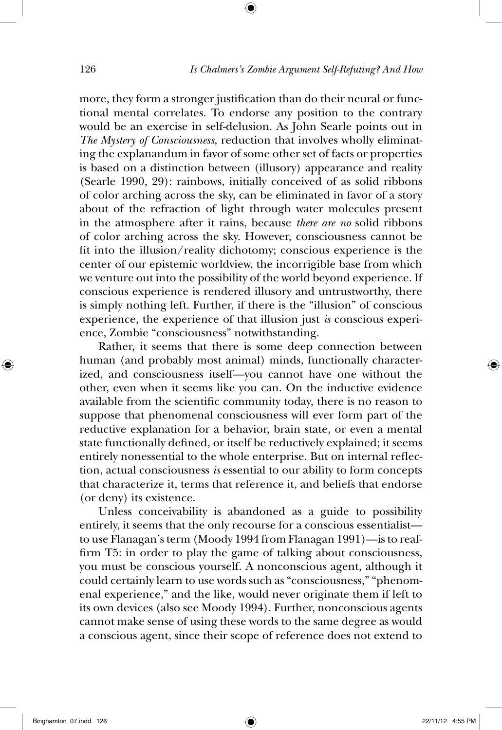more, they form a stronger justification than do their neural or functional mental correlates. To endorse any position to the contrary would be an exercise in self-delusion. As John Searle points out in *The Mystery of Consciousness*, reduction that involves wholly eliminating the explanandum in favor of some other set of facts or properties is based on a distinction between (illusory) appearance and reality (Searle 1990, 29): rainbows, initially conceived of as solid ribbons of color arching across the sky, can be eliminated in favor of a story about of the refraction of light through water molecules present in the atmosphere after it rains, because *there are no* solid ribbons of color arching across the sky. However, consciousness cannot be fit into the illusion/reality dichotomy; conscious experience is the center of our epistemic worldview, the incorrigible base from which we venture out into the possibility of the world beyond experience. If conscious experience is rendered illusory and untrustworthy, there is simply nothing left. Further, if there is the "illusion" of conscious experience, the experience of that illusion just *is* conscious experience, Zombie "consciousness" notwithstanding.

Rather, it seems that there is some deep connection between human (and probably most animal) minds, functionally characterized, and consciousness itself—you cannot have one without the other, even when it seems like you can. On the inductive evidence available from the scientific community today, there is no reason to suppose that phenomenal consciousness will ever form part of the reductive explanation for a behavior, brain state, or even a mental state functionally defined, or itself be reductively explained; it seems entirely nonessential to the whole enterprise. But on internal reflection, actual consciousness *is* essential to our ability to form concepts that characterize it, terms that reference it, and beliefs that endorse (or deny) its existence.

Unless conceivability is abandoned as a guide to possibility entirely, it seems that the only recourse for a conscious essentialist to use Flanagan's term (Moody 1994 from Flanagan 1991)—is to reaffirm T5: in order to play the game of talking about consciousness, you must be conscious yourself. A nonconscious agent, although it could certainly learn to use words such as "consciousness," "phenomenal experience," and the like, would never originate them if left to its own devices (also see Moody 1994). Further, nonconscious agents cannot make sense of using these words to the same degree as would a conscious agent, since their scope of reference does not extend to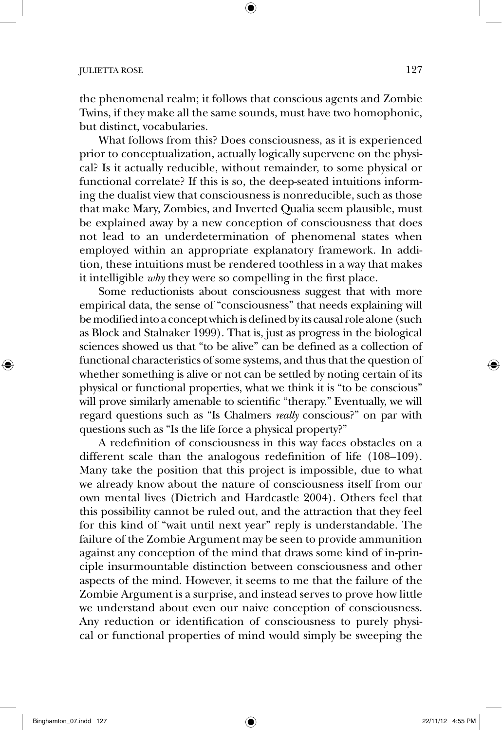the phenomenal realm; it follows that conscious agents and Zombie Twins, if they make all the same sounds, must have two homophonic, but distinct, vocabularies.

What follows from this? Does consciousness, as it is experienced prior to conceptualization, actually logically supervene on the physical? Is it actually reducible, without remainder, to some physical or functional correlate? If this is so, the deep-seated intuitions informing the dualist view that consciousness is nonreducible, such as those that make Mary, Zombies, and Inverted Qualia seem plausible, must be explained away by a new conception of consciousness that does not lead to an underdetermination of phenomenal states when employed within an appropriate explanatory framework. In addition, these intuitions must be rendered toothless in a way that makes it intelligible *why* they were so compelling in the first place.

Some reductionists about consciousness suggest that with more empirical data, the sense of "consciousness" that needs explaining will be modified into a concept which is defined by its causal role alone (such as Block and Stalnaker 1999). That is, just as progress in the biological sciences showed us that "to be alive" can be defined as a collection of functional characteristics of some systems, and thus that the question of whether something is alive or not can be settled by noting certain of its physical or functional properties, what we think it is "to be conscious" will prove similarly amenable to scientific "therapy." Eventually, we will regard questions such as "Is Chalmers *really* conscious?" on par with questions such as "Is the life force a physical property?"

A redefinition of consciousness in this way faces obstacles on a different scale than the analogous redefinition of life (108–109). Many take the position that this project is impossible, due to what we already know about the nature of consciousness itself from our own mental lives (Dietrich and Hardcastle 2004). Others feel that this possibility cannot be ruled out, and the attraction that they feel for this kind of "wait until next year" reply is understandable. The failure of the Zombie Argument may be seen to provide ammunition against any conception of the mind that draws some kind of in-principle insurmountable distinction between consciousness and other aspects of the mind. However, it seems to me that the failure of the Zombie Argument is a surprise, and instead serves to prove how little we understand about even our naive conception of consciousness. Any reduction or identification of consciousness to purely physical or functional properties of mind would simply be sweeping the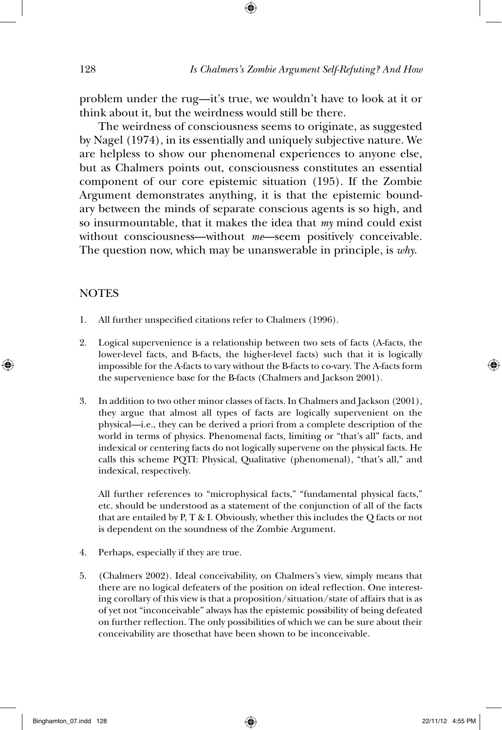problem under the rug—it's true, we wouldn't have to look at it or think about it, but the weirdness would still be there.

The weirdness of consciousness seems to originate, as suggested by Nagel (1974), in its essentially and uniquely subjective nature. We are helpless to show our phenomenal experiences to anyone else, but as Chalmers points out, consciousness constitutes an essential component of our core epistemic situation (195). If the Zombie Argument demonstrates anything, it is that the epistemic boundary between the minds of separate conscious agents is so high, and so insurmountable, that it makes the idea that *my* mind could exist without consciousness—without *me*—seem positively conceivable. The question now, which may be unanswerable in principle, is *why*.

# **NOTES**

- 1. All further unspecified citations refer to Chalmers (1996).
- 2. Logical supervenience is a relationship between two sets of facts (A-facts, the lower-level facts, and B-facts, the higher-level facts) such that it is logically impossible for the A-facts to vary without the B-facts to co-vary. The A-facts form the supervenience base for the B-facts (Chalmers and Jackson 2001).
- 3. In addition to two other minor classes of facts. In Chalmers and Jackson (2001), they argue that almost all types of facts are logically supervenient on the physical—i.e., they can be derived a priori from a complete description of the world in terms of physics. Phenomenal facts, limiting or "that's all" facts, and indexical or centering facts do not logically supervene on the physical facts. He calls this scheme PQTI: Physical, Qualitative (phenomenal), "that's all," and indexical, respectively.

All further references to "microphysical facts," "fundamental physical facts," etc. should be understood as a statement of the conjunction of all of the facts that are entailed by P, T & I. Obviously, whether this includes the Q facts or not is dependent on the soundness of the Zombie Argument.

- 4. Perhaps, especially if they are true.
- 5. (Chalmers 2002). Ideal conceivability, on Chalmers's view, simply means that there are no logical defeaters of the position on ideal reflection. One interesting corollary of this view is that a proposition/situation/state of affairs that is as of yet not "inconceivable" always has the epistemic possibility of being defeated on further reflection. The only possibilities of which we can be sure about their conceivability are thosethat have been shown to be inconceivable.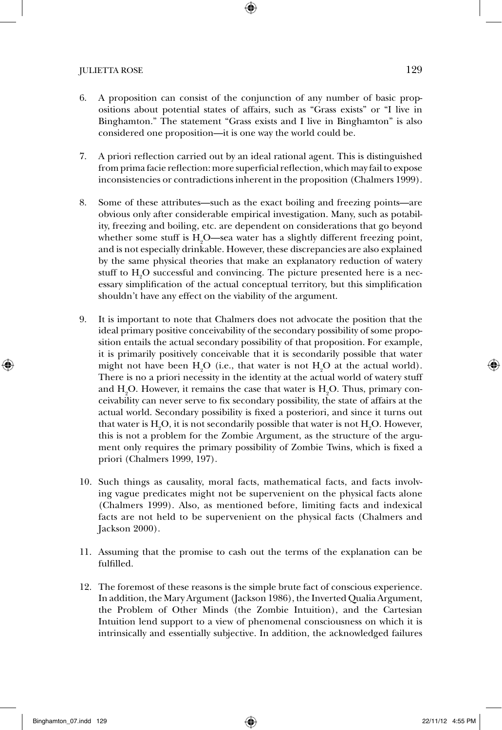#### Julietta Rose 129

- 6. A proposition can consist of the conjunction of any number of basic propositions about potential states of affairs, such as "Grass exists" or "I live in Binghamton." The statement "Grass exists and I live in Binghamton" is also considered one proposition—it is one way the world could be.
- 7. A priori reflection carried out by an ideal rational agent. This is distinguished from prima facie reflection: more superficial reflection, which may fail to expose inconsistencies or contradictions inherent in the proposition (Chalmers 1999).
- 8. Some of these attributes—such as the exact boiling and freezing points—are obvious only after considerable empirical investigation. Many, such as potability, freezing and boiling, etc. are dependent on considerations that go beyond whether some stuff is  $\rm H_2O\!\!-\!\!$  sea water has a slightly different freezing point, and is not especially drinkable. However, these discrepancies are also explained by the same physical theories that make an explanatory reduction of watery stuff to  $\rm H_{2}O$  successful and convincing. The picture presented here is a necessary simplification of the actual conceptual territory, but this simplification shouldn't have any effect on the viability of the argument.
- 9. It is important to note that Chalmers does not advocate the position that the ideal primary positive conceivability of the secondary possibility of some proposition entails the actual secondary possibility of that proposition. For example, it is primarily positively conceivable that it is secondarily possible that water might not have been  $H_2O$  (i.e., that water is not  $H_2O$  at the actual world). There is no a priori necessity in the identity at the actual world of watery stuff and  $\text{H}_{2}\text{O}$ . However, it remains the case that water is  $\text{H}_{2}\text{O}$ . Thus, primary conceivability can never serve to fix secondary possibility, the state of affairs at the actual world. Secondary possibility is fixed a posteriori, and since it turns out that water is  $\rm H_2O$ , it is not secondarily possible that water is not  $\rm H_2O$ . However, this is not a problem for the Zombie Argument, as the structure of the argument only requires the primary possibility of Zombie Twins, which is fixed a priori (Chalmers 1999, 197).
- 10. Such things as causality, moral facts, mathematical facts, and facts involving vague predicates might not be supervenient on the physical facts alone (Chalmers 1999). Also, as mentioned before, limiting facts and indexical facts are not held to be supervenient on the physical facts (Chalmers and Jackson 2000).
- 11. Assuming that the promise to cash out the terms of the explanation can be fulfilled.
- 12. The foremost of these reasons is the simple brute fact of conscious experience. In addition, the Mary Argument (Jackson 1986), the Inverted Qualia Argument, the Problem of Other Minds (the Zombie Intuition), and the Cartesian Intuition lend support to a view of phenomenal consciousness on which it is intrinsically and essentially subjective. In addition, the acknowledged failures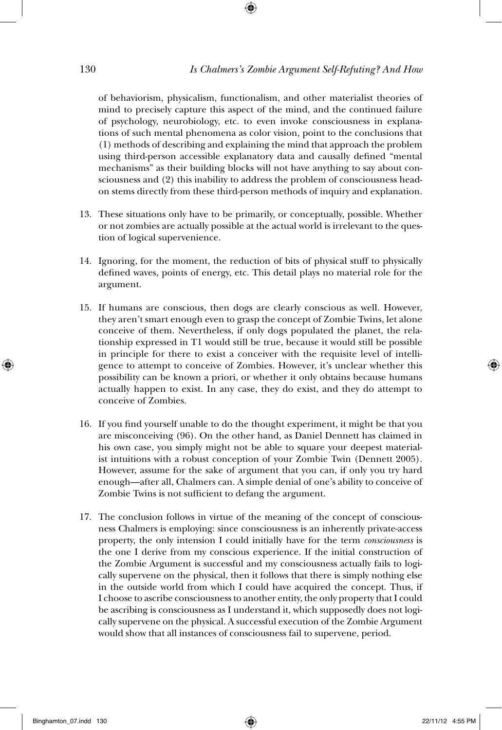of behaviorism, physicalism, functionalism, and other materialist theories of mind to precisely capture this aspect of the mind, and the continued failure of psychology, neurobiology, etc. to even invoke consciousness in explanations of such mental phenomena as color vision, point to the conclusions that (1) methods of describing and explaining the mind that approach the problem using third-person accessible explanatory data and causally defined "mental mechanisms" as their building blocks will not have anything to say about consciousness and (2) this inability to address the problem of consciousness headon stems directly from these third-person methods of inquiry and explanation.

- 13. These situations only have to be primarily, or conceptually, possible. Whether or not zombies are actually possible at the actual world is irrelevant to the question of logical supervenience.
- 14. Ignoring, for the moment, the reduction of bits of physical stuff to physically defined waves, points of energy, etc. This detail plays no material role for the argument.
- 15. If humans are conscious, then dogs are clearly conscious as well. However, they aren't smart enough even to grasp the concept of Zombie Twins, let alone conceive of them. Nevertheless, if only dogs populated the planet, the relationship expressed in T1 would still be true, because it would still be possible in principle for there to exist a conceiver with the requisite level of intelligence to attempt to conceive of Zombies. However, it's unclear whether this possibility can be known a priori, or whether it only obtains because humans actually happen to exist. In any case, they do exist, and they do attempt to conceive of Zombies.
- 16. If you find yourself unable to do the thought experiment, it might be that you are misconceiving (96). On the other hand, as Daniel Dennett has claimed in his own case, you simply might not be able to square your deepest materialist intuitions with a robust conception of your Zombie Twin (Dennett 2005). However, assume for the sake of argument that you can, if only you try hard enough—after all, Chalmers can. A simple denial of one's ability to conceive of Zombie Twins is not sufficient to defang the argument.
- 17. The conclusion follows in virtue of the meaning of the concept of consciousness Chalmers is employing: since consciousness is an inherently private-access property, the only intension I could initially have for the term *consciousness* is the one I derive from my conscious experience. If the initial construction of the Zombie Argument is successful and my consciousness actually fails to logically supervene on the physical, then it follows that there is simply nothing else in the outside world from which I could have acquired the concept. Thus, if I choose to ascribe consciousness to another entity, the only property that I could be ascribing is consciousness as I understand it, which supposedly does not logically supervene on the physical. A successful execution of the Zombie Argument would show that all instances of consciousness fail to supervene, period.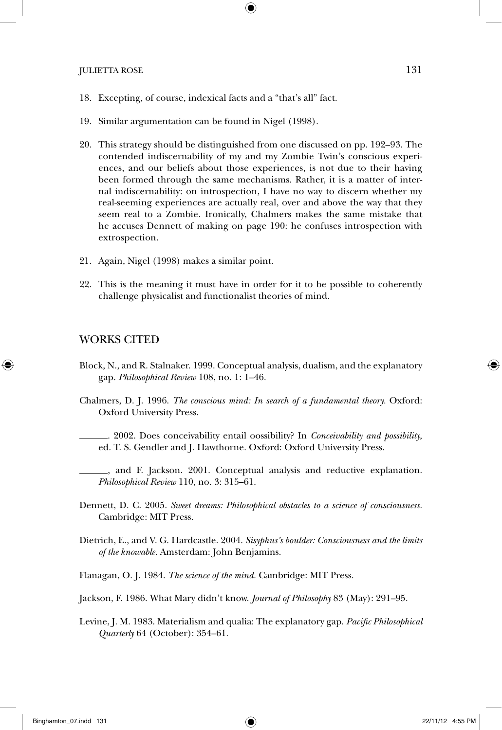- 18. Excepting, of course, indexical facts and a "that's all" fact.
- 19. Similar argumentation can be found in Nigel (1998).
- 20. This strategy should be distinguished from one discussed on pp. 192–93. The contended indiscernability of my and my Zombie Twin's conscious experiences, and our beliefs about those experiences, is not due to their having been formed through the same mechanisms. Rather, it is a matter of internal indiscernability: on introspection, I have no way to discern whether my real-seeming experiences are actually real, over and above the way that they seem real to a Zombie. Ironically, Chalmers makes the same mistake that he accuses Dennett of making on page 190: he confuses introspection with extrospection.
- 21. Again, Nigel (1998) makes a similar point.
- 22. This is the meaning it must have in order for it to be possible to coherently challenge physicalist and functionalist theories of mind.

# WORKS CITED

- Block, N., and R. Stalnaker. 1999. Conceptual analysis, dualism, and the explanatory gap. *Philosophical Review* 108, no. 1: 1–46.
- Chalmers, D. J. 1996. *The conscious mind: In search of a fundamental theory.* Oxford: Oxford University Press.
- . 2002. Does conceivability entail oossibility? In *Conceivability and possibility,* ed. T. S. Gendler and J. Hawthorne. Oxford: Oxford University Press.
- , and F. Jackson. 2001. Conceptual analysis and reductive explanation. *Philosophical Review* 110, no. 3: 315–61.
- Dennett, D. C. 2005. *Sweet dreams: Philosophical obstacles to a science of consciousness.* Cambridge: MIT Press.
- Dietrich, E., and V. G. Hardcastle. 2004. *Sisyphus's boulder: Consciousness and the limits of the knowable.* Amsterdam: John Benjamins.
- Flanagan, O. J. 1984. *The science of the mind.* Cambridge: MIT Press.
- Jackson, F. 1986. What Mary didn't know. *Journal of Philosophy* 83 (May): 291–95.
- Levine, J. M. 1983. Materialism and qualia: The explanatory gap. *Pacific Philosophical Quarterly* 64 (October): 354–61.